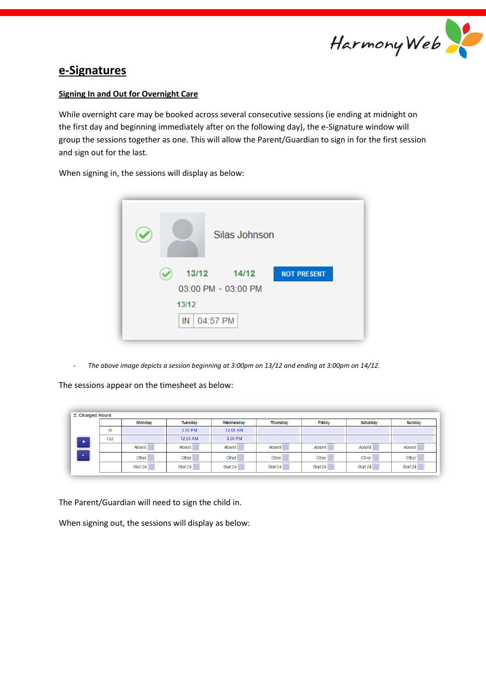

## **e-Signatures**

## **Signing In and Out for Overnight Care**

While overnight care may be booked across several consecutive sessions (ie ending at midnight on the first day and beginning immediately after on the following day), the e-Signature window will group the sessions together as one. This will allow the Parent/Guardian to sign in for the first session and sign out for the last.

When signing in, the sessions will display as below:



- *The above image depicts a session beginning at 3:00pm on 13/12 and ending at 3:00pm on 14/12.* 

The sessions appear on the timesheet as below:

|   | <b>Monday</b> |          | <b>Tuesday</b> | Wednesday | <b>Thursday</b> | Friday   | Saturday     | Sunday   |  |
|---|---------------|----------|----------------|-----------|-----------------|----------|--------------|----------|--|
|   | In.           |          | 3:00 PM        | 12:00 AM  |                 |          |              |          |  |
| ٠ | Out           | 12:00 AM |                | 3:00 PM   |                 |          |              |          |  |
|   |               | Absent   | Absent         | Absent    | Absent          | Absent   | Absent       | Absent   |  |
|   |               | Other    | <b>Other</b>   | Other     | <b>Other</b>    | Other    | <b>Other</b> | Other    |  |
|   |               | Start 24 | Start 24       | Start 24  | Start 24        | Start 24 | Start 24     | Start 24 |  |

The Parent/Guardian will need to sign the child in.

When signing out, the sessions will display as below: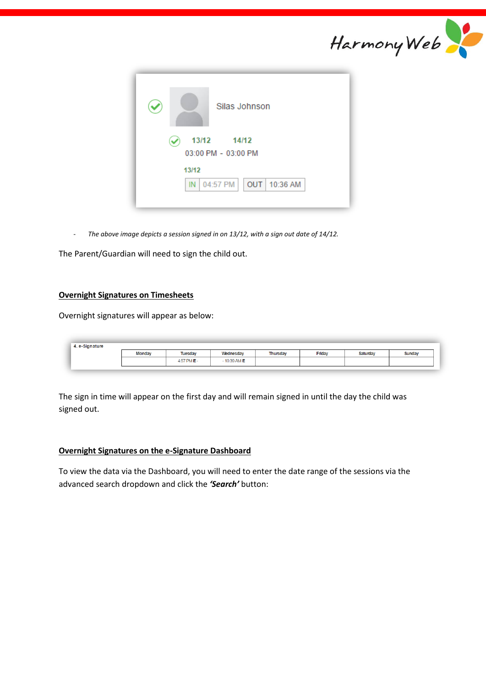|                                            | Harmony Web |
|--------------------------------------------|-------------|
| Silas Johnson                              |             |
| 13/12<br>14/12<br>03:00 PM - 03:00 PM      |             |
| 13/12<br>10:36 AM<br>04:57 PM<br>OUT<br>IN |             |

- *The above image depicts a session signed in on 13/12, with a sign out date of 14/12.* 

The Parent/Guardian will need to sign the child out.

## **Overnight Signatures on Timesheets**

Overnight signatures will appear as below:

| 4. e-Signature |               |             |               |                 |        |                 |        |
|----------------|---------------|-------------|---------------|-----------------|--------|-----------------|--------|
|                | <b>Monday</b> | Tuesday     | Wednesday     | <b>Thursday</b> | Friday | <b>Saturday</b> | Sunday |
|                |               | 4:57 PM E - | $-10:39$ AM E |                 |        |                 |        |
|                |               |             |               |                 |        |                 |        |

The sign in time will appear on the first day and will remain signed in until the day the child was signed out.

## **Overnight Signatures on the e-Signature Dashboard**

To view the data via the Dashboard, you will need to enter the date range of the sessions via the advanced search dropdown and click the *'Search'* button: